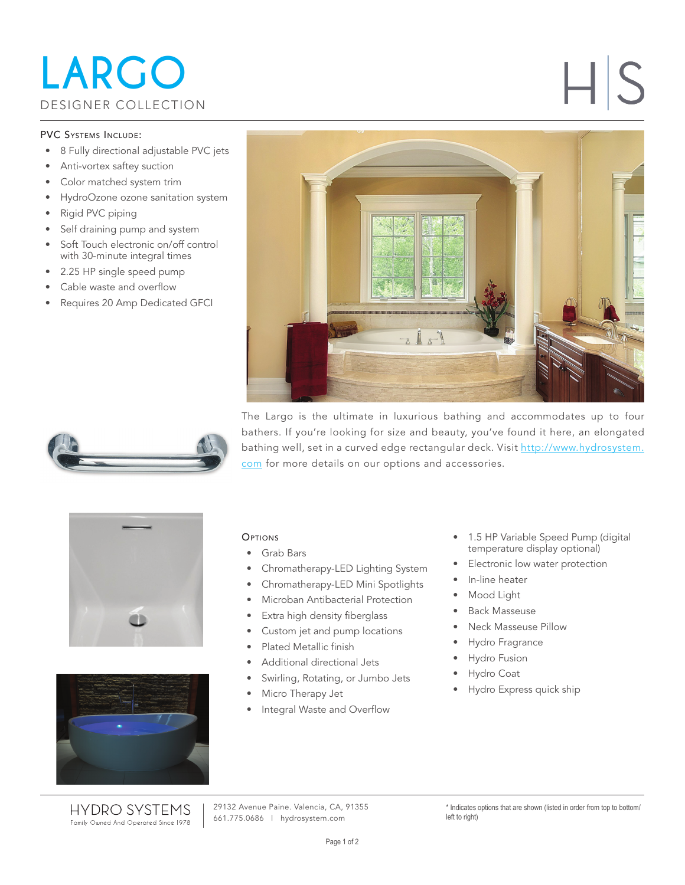# **LARGO** DESIGNER COLLECTION

## PVC Systems Include:

- 8 Fully directional adjustable PVC jets
- Anti-vortex saftey suction
- Color matched system trim
- HydroOzone ozone sanitation system
- Rigid PVC piping
- Self draining pump and system
- Soft Touch electronic on/off control with 30-minute integral times
- 2.25 HP single speed pump
- Cable waste and overflow
- Requires 20 Amp Dedicated GFCI





The Largo is the ultimate in luxurious bathing and accommodates up to four bathers. If you're looking for size and beauty, you've found it here, an elongated bathing well, set in a curved edge rectangular deck. Visit http://www.hydrosystem. com for more details on our options and accessories.





# **OPTIONS**

- Grab Bars
- Chromatherapy-LED Lighting System
- Chromatherapy-LED Mini Spotlights
- Microban Antibacterial Protection
- Extra high density fiberglass
- Custom jet and pump locations
- Plated Metallic finish
- Additional directional Jets
- Swirling, Rotating, or Jumbo Jets
- Micro Therapy Jet
- Integral Waste and Overflow
- 1.5 HP Variable Speed Pump (digital temperature display optional)
- Electronic low water protection
- In-line heater
- Mood Light
- Back Masseuse
- Neck Masseuse Pillow
- Hydro Fragrance
- Hydro Fusion
- Hydro Coat
- Hydro Express quick ship

**HYDRO SYSTEMS** Family Ouned And Operated Since 1978 29132 Avenue Paine. Valencia, CA, 91355 661.775.0686 | hydrosystem.com

\* Indicates options that are shown (listed in order from top to bottom/ left to right)